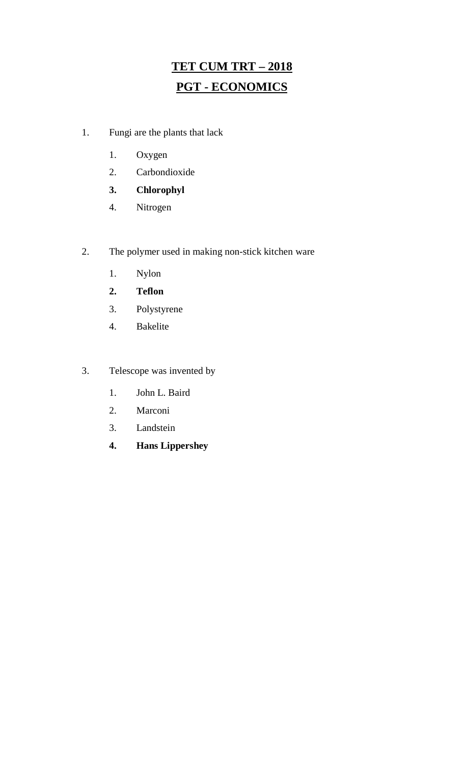# **TET CUM TRT – 2018 PGT - ECONOMICS**

- 1. Fungi are the plants that lack
	- 1. Oxygen
	- 2. Carbondioxide
	- **3. Chlorophyl**
	- 4. Nitrogen
- 2. The polymer used in making non-stick kitchen ware
	- 1. Nylon
	- **2. Teflon**
	- 3. Polystyrene
	- 4. Bakelite
- 3. Telescope was invented by
	- 1. John L. Baird
	- 2. Marconi
	- 3. Landstein
	- **4. Hans Lippershey**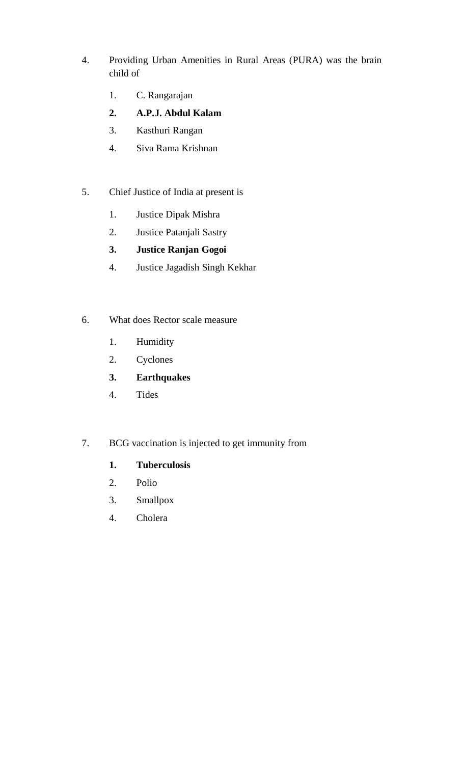- 4. Providing Urban Amenities in Rural Areas (PURA) was the brain child of
	- 1. C. Rangarajan
	- **2. A.P.J. Abdul Kalam**
	- 3. Kasthuri Rangan
	- 4. Siva Rama Krishnan
- 5. Chief Justice of India at present is
	- 1. Justice Dipak Mishra
	- 2. Justice Patanjali Sastry
	- **3. Justice Ranjan Gogoi**
	- 4. Justice Jagadish Singh Kekhar
- 6. What does Rector scale measure
	- 1. Humidity
	- 2. Cyclones
	- **3. Earthquakes**
	- 4. Tides
- 7. BCG vaccination is injected to get immunity from
	- **1. Tuberculosis**
	- 2. Polio
	- 3. Smallpox
	- 4. Cholera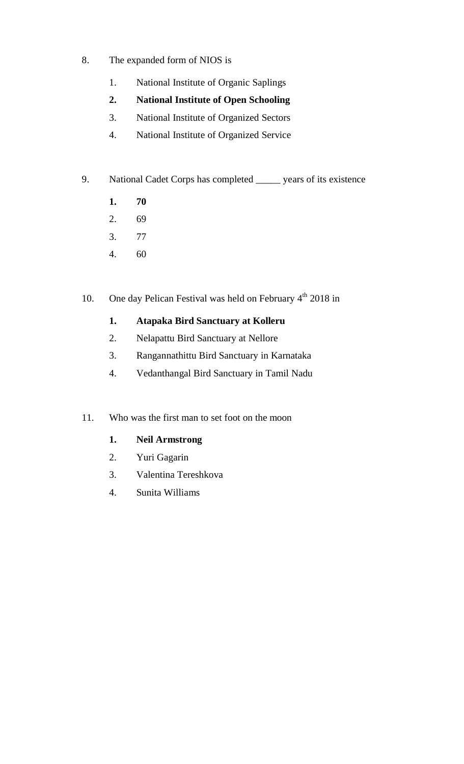- 8. The expanded form of NIOS is
	- 1. National Institute of Organic Saplings
	- **2. National Institute of Open Schooling**
	- 3. National Institute of Organized Sectors
	- 4. National Institute of Organized Service
- 9. National Cadet Corps has completed \_\_\_\_\_ years of its existence
	- **1. 70**
	- 2. 69
	- 3. 77
	- 4. 60
- 10. One day Pelican Festival was held on February  $4<sup>th</sup>$  2018 in

#### **1. Atapaka Bird Sanctuary at Kolleru**

- 2. Nelapattu Bird Sanctuary at Nellore
- 3. Rangannathittu Bird Sanctuary in Karnataka
- 4. Vedanthangal Bird Sanctuary in Tamil Nadu
- 11. Who was the first man to set foot on the moon

#### **1. Neil Armstrong**

- 2. Yuri Gagarin
- 3. Valentina Tereshkova
- 4. Sunita Williams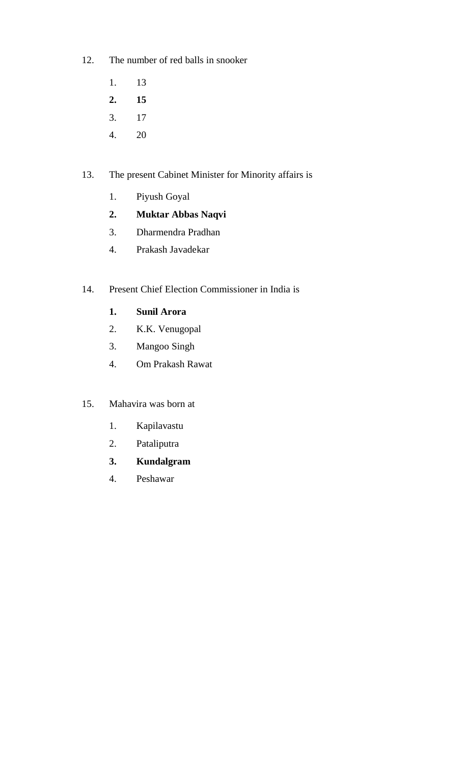- 12. The number of red balls in snooker
	- 1. 13
	- **2. 15**
	- 3. 17
	- 4. 20

#### 13. The present Cabinet Minister for Minority affairs is

- 1. Piyush Goyal
- **2. Muktar Abbas Naqvi**
- 3. Dharmendra Pradhan
- 4. Prakash Javadekar
- 14. Present Chief Election Commissioner in India is
	- **1. Sunil Arora**
	- 2. K.K. Venugopal
	- 3. Mangoo Singh
	- 4. Om Prakash Rawat
- 15. Mahavira was born at
	- 1. Kapilavastu
	- 2. Pataliputra
	- **3. Kundalgram**
	- 4. Peshawar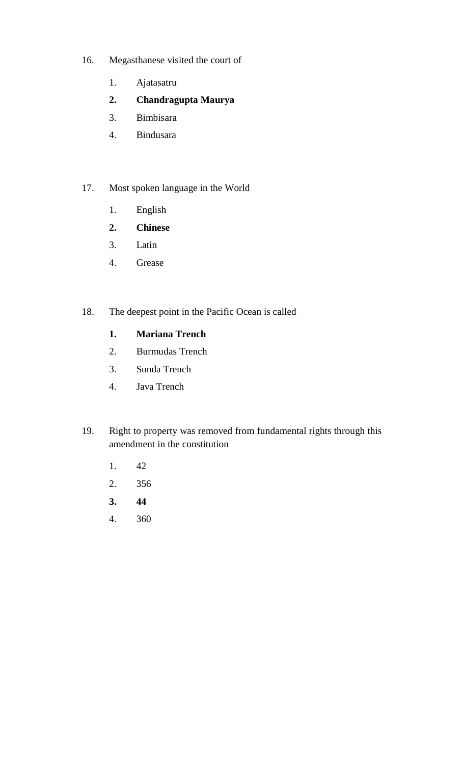- 16. Megasthanese visited the court of
	- 1. Ajatasatru
	- **2. Chandragupta Maurya**
	- 3. Bimbisara
	- 4. Bindusara

#### 17. Most spoken language in the World

- 1. English
- **2. Chinese**
- 3. Latin
- 4. Grease

#### 18. The deepest point in the Pacific Ocean is called

#### **1. Mariana Trench**

- 2. Burmudas Trench
- 3. Sunda Trench
- 4. Java Trench
- 19. Right to property was removed from fundamental rights through this amendment in the constitution
	- 1. 42
	- 2. 356
	- **3. 44**
	- 4. 360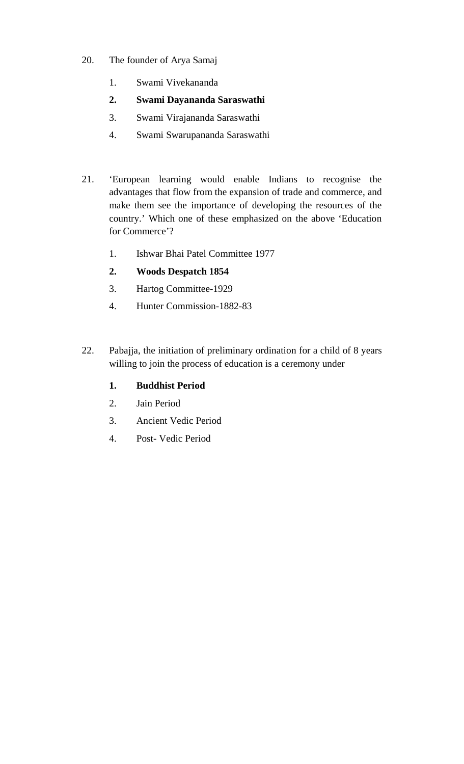- 20. The founder of Arya Samaj
	- 1. Swami Vivekananda
	- **2. Swami Dayananda Saraswathi**
	- 3. Swami Virajananda Saraswathi
	- 4. Swami Swarupananda Saraswathi
- 21. 'European learning would enable Indians to recognise the advantages that flow from the expansion of trade and commerce, and make them see the importance of developing the resources of the country.' Which one of these emphasized on the above 'Education for Commerce'?
	- 1. Ishwar Bhai Patel Committee 1977

#### **2. Woods Despatch 1854**

- 3. Hartog Committee-1929
- 4. Hunter Commission-1882-83
- 22. Pabajja, the initiation of preliminary ordination for a child of 8 years willing to join the process of education is a ceremony under

#### **1. Buddhist Period**

- 2. Jain Period
- 3. Ancient Vedic Period
- 4. Post- Vedic Period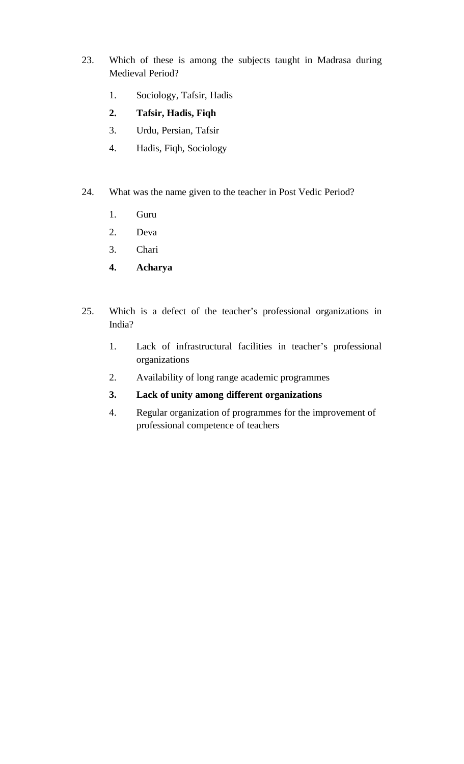- 23. Which of these is among the subjects taught in Madrasa during Medieval Period?
	- 1. Sociology, Tafsir, Hadis
	- **2. Tafsir, Hadis, Fiqh**
	- 3. Urdu, Persian, Tafsir
	- 4. Hadis, Fiqh, Sociology
- 24. What was the name given to the teacher in Post Vedic Period?
	- 1. Guru
	- 2. Deva
	- 3. Chari
	- **4. Acharya**
- 25. Which is a defect of the teacher's professional organizations in India?
	- 1. Lack of infrastructural facilities in teacher's professional organizations
	- 2. Availability of long range academic programmes
	- **3. Lack of unity among different organizations**
	- 4. Regular organization of programmes for the improvement of professional competence of teachers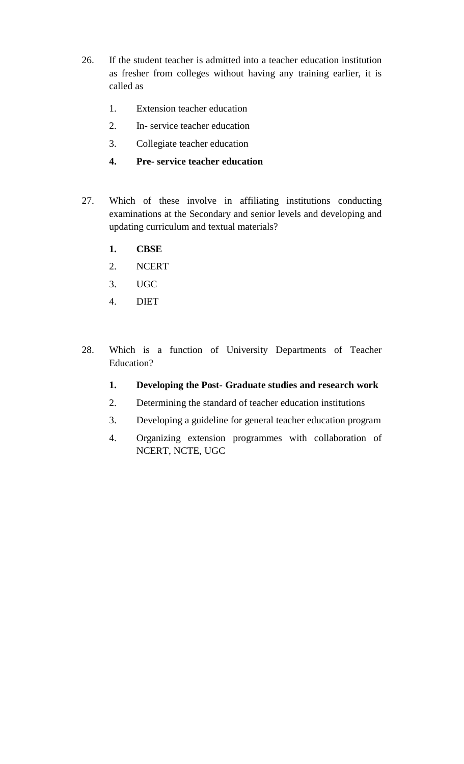- 26. If the student teacher is admitted into a teacher education institution as fresher from colleges without having any training earlier, it is called as
	- 1. Extension teacher education
	- 2. In- service teacher education
	- 3. Collegiate teacher education
	- **4. Pre- service teacher education**
- 27. Which of these involve in affiliating institutions conducting examinations at the Secondary and senior levels and developing and updating curriculum and textual materials?
	- **1. CBSE**
	- 2. NCERT
	- 3. UGC
	- 4. DIET
- 28. Which is a function of University Departments of Teacher Education?
	- **1. Developing the Post- Graduate studies and research work**
	- 2. Determining the standard of teacher education institutions
	- 3. Developing a guideline for general teacher education program
	- 4. Organizing extension programmes with collaboration of NCERT, NCTE, UGC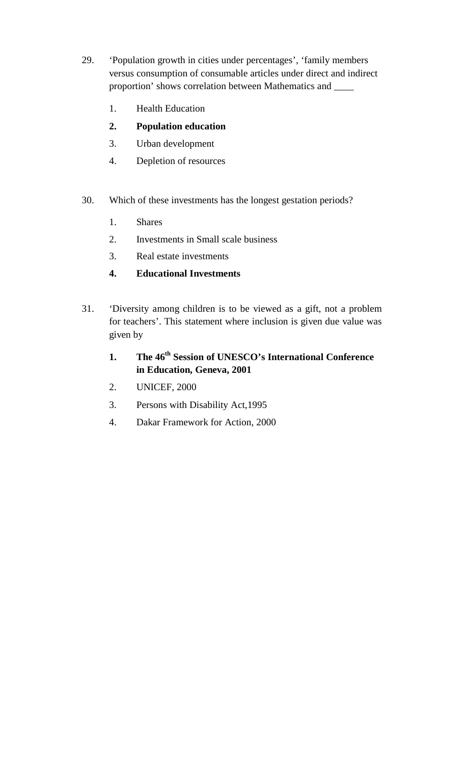- 29. 'Population growth in cities under percentages', 'family members versus consumption of consumable articles under direct and indirect proportion' shows correlation between Mathematics and \_\_\_\_
	- 1. Health Education
	- **2. Population education**
	- 3. Urban development
	- 4. Depletion of resources
- 30. Which of these investments has the longest gestation periods?
	- 1. Shares
	- 2. Investments in Small scale business
	- 3. Real estate investments
	- **4. Educational Investments**
- 31. 'Diversity among children is to be viewed as a gift, not a problem for teachers'. This statement where inclusion is given due value was given by

### **1. The 46th Session of UNESCO's International Conference in Education, Geneva, 2001**

- 2. UNICEF, 2000
- 3. Persons with Disability Act,1995
- 4. Dakar Framework for Action, 2000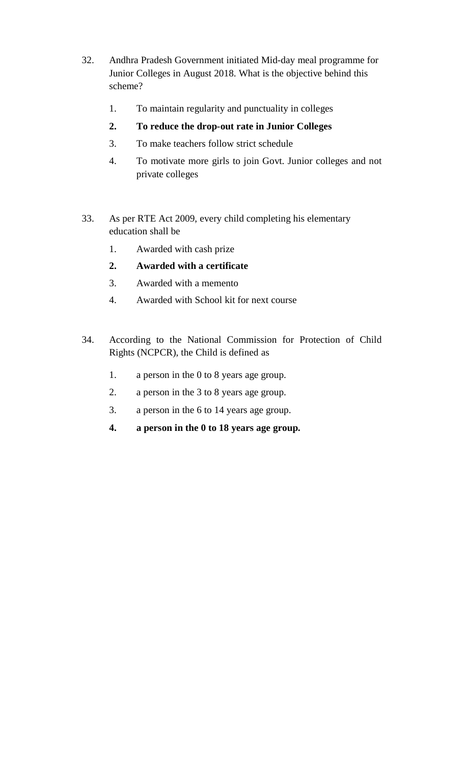- 32. Andhra Pradesh Government initiated Mid-day meal programme for Junior Colleges in August 2018. What is the objective behind this scheme?
	- 1. To maintain regularity and punctuality in colleges
	- **2. To reduce the drop-out rate in Junior Colleges**
	- 3. To make teachers follow strict schedule
	- 4. To motivate more girls to join Govt. Junior colleges and not private colleges
- 33. As per RTE Act 2009, every child completing his elementary education shall be
	- 1. Awarded with cash prize
	- **2. Awarded with a certificate**
	- 3. Awarded with a memento
	- 4. Awarded with School kit for next course
- 34. According to the National Commission for Protection of Child Rights (NCPCR), the Child is defined as
	- 1. a person in the 0 to 8 years age group.
	- 2. a person in the 3 to 8 years age group.
	- 3. a person in the 6 to 14 years age group.
	- **4. a person in the 0 to 18 years age group.**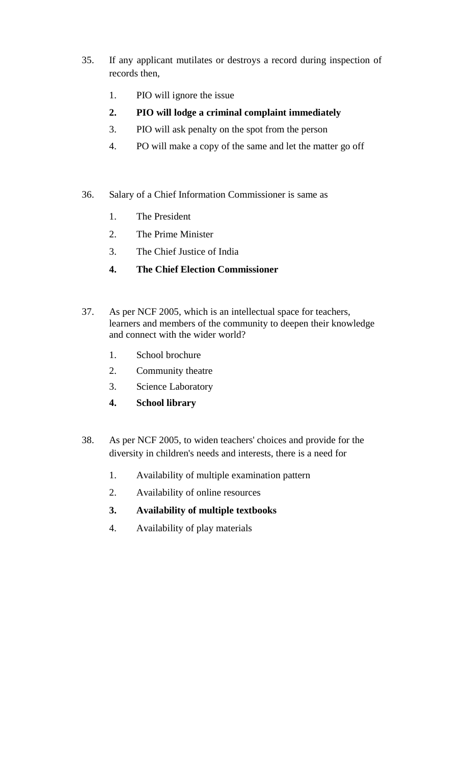- 35. If any applicant mutilates or destroys a record during inspection of records then,
	- 1. PIO will ignore the issue
	- **2. PIO will lodge a criminal complaint immediately**
	- 3. PIO will ask penalty on the spot from the person
	- 4. PO will make a copy of the same and let the matter go off
- 36. Salary of a Chief Information Commissioner is same as
	- 1. The President
	- 2. The Prime Minister
	- 3. The Chief Justice of India
	- **4. The Chief Election Commissioner**
- 37. As per NCF 2005, which is an intellectual space for teachers, learners and members of the community to deepen their knowledge and connect with the wider world?
	- 1. School brochure
	- 2. Community theatre
	- 3. Science Laboratory
	- **4. School library**
- 38. As per NCF 2005, to widen teachers' choices and provide for the diversity in children's needs and interests, there is a need for
	- 1. Availability of multiple examination pattern
	- 2. Availability of online resources
	- **3. Availability of multiple textbooks**
	- 4. Availability of play materials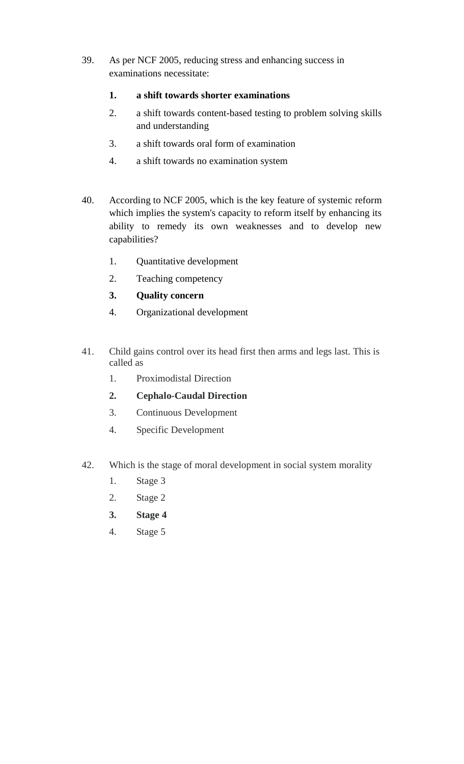39. As per NCF 2005, reducing stress and enhancing success in examinations necessitate:

#### **1. a shift towards shorter examinations**

- 2. a shift towards content-based testing to problem solving skills and understanding
- 3. a shift towards oral form of examination
- 4. a shift towards no examination system
- 40. According to NCF 2005, which is the key feature of systemic reform which implies the system's capacity to reform itself by enhancing its ability to remedy its own weaknesses and to develop new capabilities?
	- 1. Quantitative development
	- 2. Teaching competency
	- **3. Quality concern**
	- 4. Organizational development
- 41. Child gains control over its head first then arms and legs last. This is called as
	- 1. Proximodistal Direction
	- **2. Cephalo-Caudal Direction**
	- 3. Continuous Development
	- 4. Specific Development
- 42. Which is the stage of moral development in social system morality
	- 1. Stage 3
	- 2. Stage 2
	- **3. Stage 4**
	- 4. Stage 5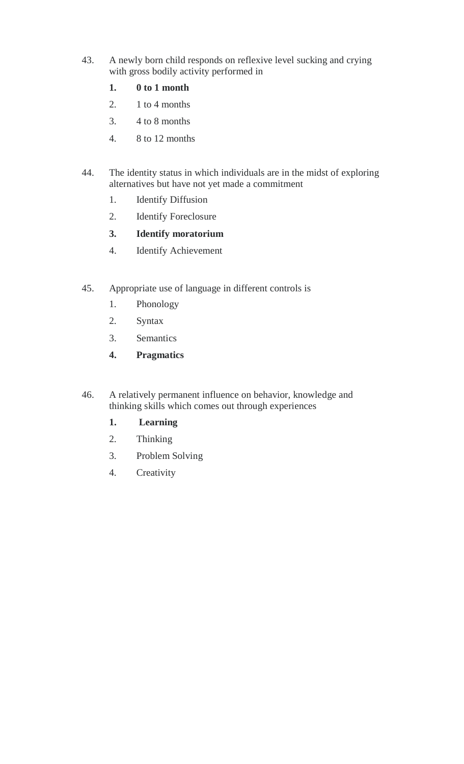- 43. A newly born child responds on reflexive level sucking and crying with gross bodily activity performed in
	- **1. 0 to 1 month**
	- 2.  $1$  to 4 months
	- 3. 4 to 8 months
	- 4. 8 to 12 months
- 44. The identity status in which individuals are in the midst of exploring alternatives but have not yet made a commitment
	- 1. Identify Diffusion
	- 2. Identify Foreclosure
	- **3. Identify moratorium**
	- 4. Identify Achievement
- 45. Appropriate use of language in different controls is
	- 1. Phonology
	- 2. Syntax
	- 3. Semantics
	- **4. Pragmatics**
- 46. A relatively permanent influence on behavior, knowledge and thinking skills which comes out through experiences
	- **1. Learning**
	- 2. Thinking
	- 3. Problem Solving
	- 4. Creativity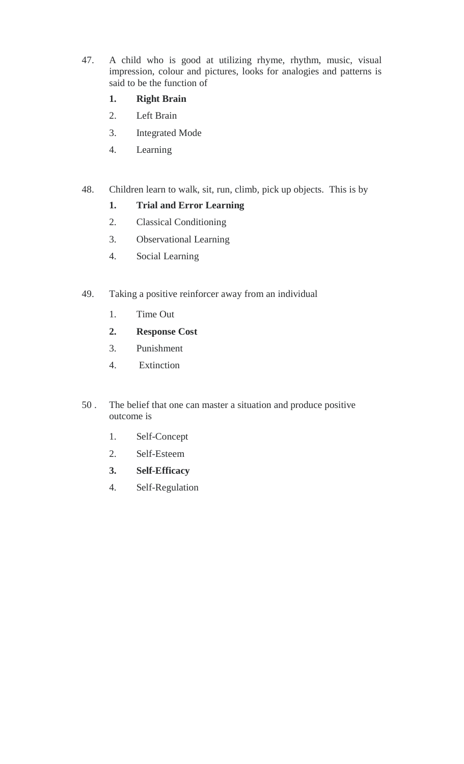47. A child who is good at utilizing rhyme, rhythm, music, visual impression, colour and pictures, looks for analogies and patterns is said to be the function of

#### **1. Right Brain**

- 2. Left Brain
- 3. Integrated Mode
- 4. Learning

#### 48. Children learn to walk, sit, run, climb, pick up objects. This is by

#### **1. Trial and Error Learning**

- 2. Classical Conditioning
- 3. Observational Learning
- 4. Social Learning
- 49. Taking a positive reinforcer away from an individual
	- 1. Time Out
	- **2. Response Cost**
	- 3. Punishment
	- 4. Extinction
- 50 . The belief that one can master a situation and produce positive outcome is
	- 1. Self-Concept
	- 2. Self-Esteem
	- **3. Self-Efficacy**
	- 4. Self-Regulation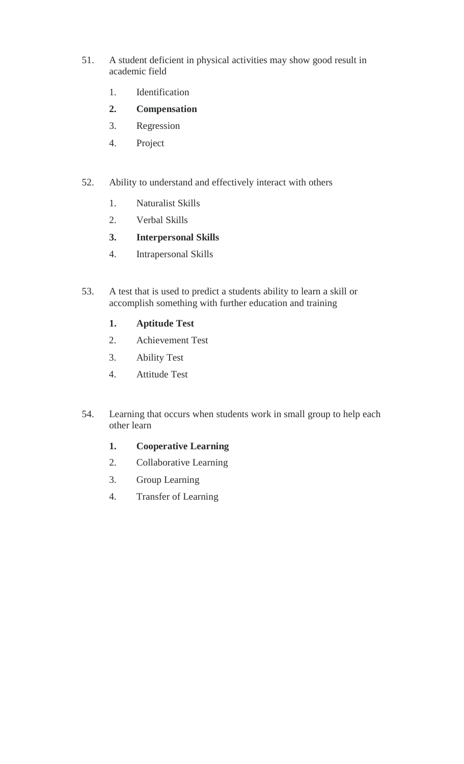- 51. A student deficient in physical activities may show good result in academic field
	- 1. Identification
	- **2. Compensation**
	- 3. Regression
	- 4. Project
- 52. Ability to understand and effectively interact with others
	- 1. Naturalist Skills
	- 2. Verbal Skills
	- **3. Interpersonal Skills**
	- 4. Intrapersonal Skills
- 53. A test that is used to predict a students ability to learn a skill or accomplish something with further education and training
	- **1. Aptitude Test**
	- 2. Achievement Test
	- 3. Ability Test
	- 4. Attitude Test
- 54. Learning that occurs when students work in small group to help each other learn
	- **1. Cooperative Learning**
	- 2. Collaborative Learning
	- 3. Group Learning
	- 4. Transfer of Learning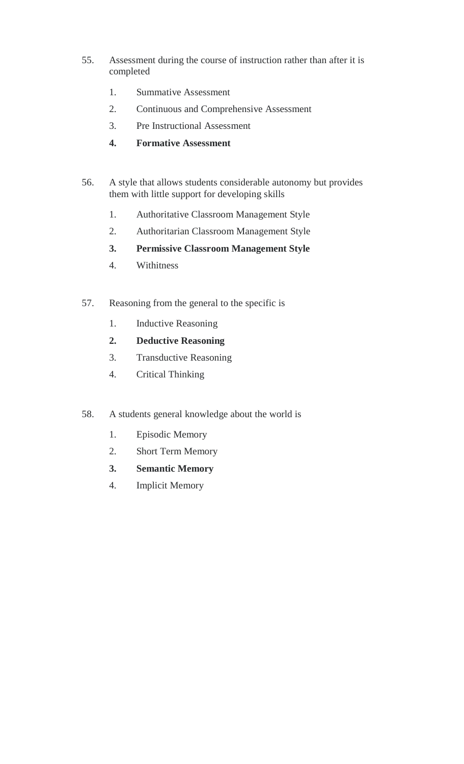- 55. Assessment during the course of instruction rather than after it is completed
	- 1. Summative Assessment
	- 2. Continuous and Comprehensive Assessment
	- 3. Pre Instructional Assessment
	- **4. Formative Assessment**
- 56. A style that allows students considerable autonomy but provides them with little support for developing skills
	- 1. Authoritative Classroom Management Style
	- 2. Authoritarian Classroom Management Style
	- **3. Permissive Classroom Management Style**
	- 4. Withitness
- 57. Reasoning from the general to the specific is
	- 1. Inductive Reasoning
	- **2. Deductive Reasoning**
	- 3. Transductive Reasoning
	- 4. Critical Thinking
- 58. A students general knowledge about the world is
	- 1. Episodic Memory
	- 2. Short Term Memory
	- **3. Semantic Memory**
	- 4. Implicit Memory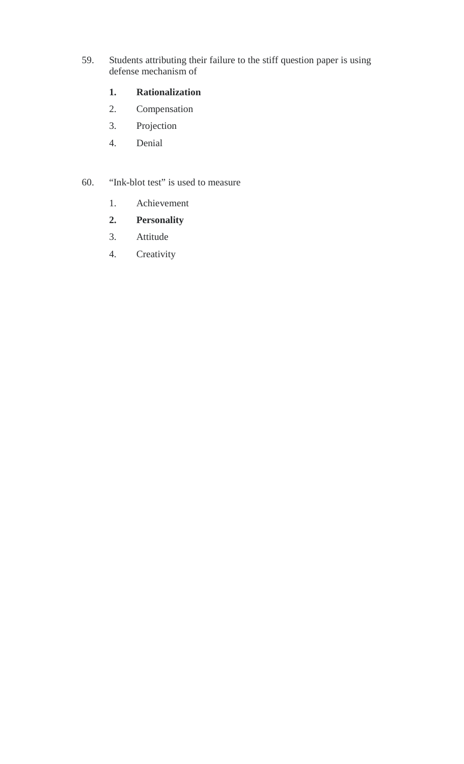59. Students attributing their failure to the stiff question paper is using defense mechanism of

#### **1. Rationalization**

- 2. Compensation
- 3. Projection
- 4. Denial

#### 60. "Ink-blot test" is used to measure

- 1. Achievement
- **2. Personality**
- 3. Attitude
- 4. Creativity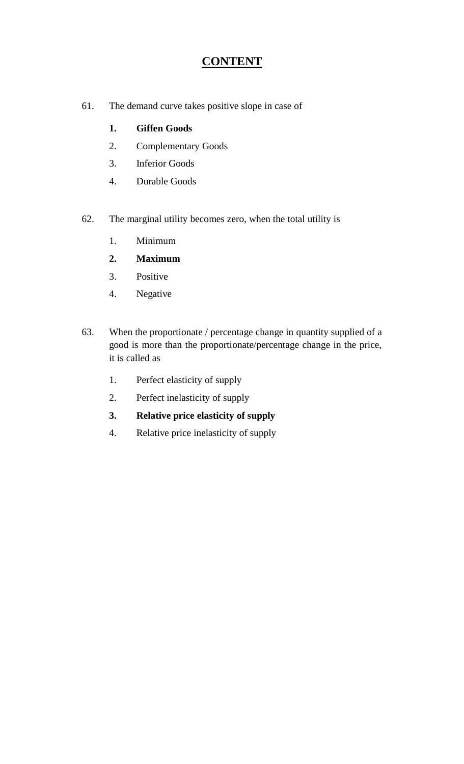### **CONTENT**

61. The demand curve takes positive slope in case of

### **1. Giffen Goods**

- 2. Complementary Goods
- 3. Inferior Goods
- 4. Durable Goods
- 62. The marginal utility becomes zero, when the total utility is
	- 1. Minimum
	- **2. Maximum**
	- 3. Positive
	- 4. Negative
- 63. When the proportionate / percentage change in quantity supplied of a good is more than the proportionate/percentage change in the price, it is called as
	- 1. Perfect elasticity of supply
	- 2. Perfect inelasticity of supply
	- **3. Relative price elasticity of supply**
	- 4. Relative price inelasticity of supply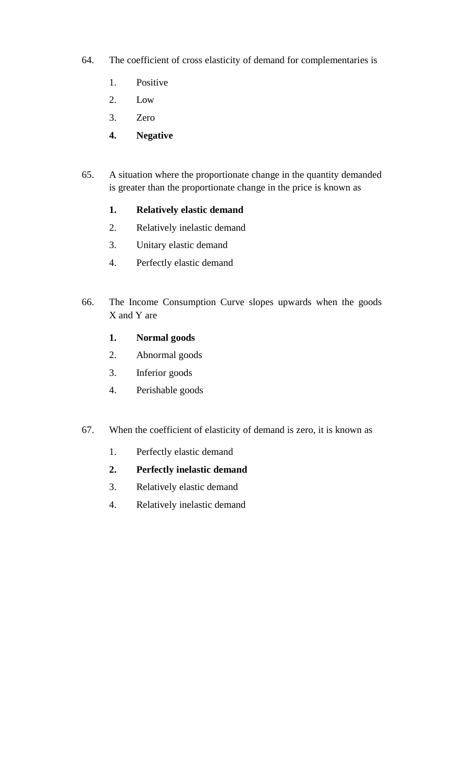- 64. The coefficient of cross elasticity of demand for complementaries is
	- 1. Positive
	- 2. Low
	- 3. Zero
	- **4. Negative**
- 65. A situation where the proportionate change in the quantity demanded is greater than the proportionate change in the price is known as
	- **1. Relatively elastic demand**
	- 2. Relatively inelastic demand
	- 3. Unitary elastic demand
	- 4. Perfectly elastic demand
- 66. The Income Consumption Curve slopes upwards when the goods X and Y are
	- **1. Normal goods**
	- 2. Abnormal goods
	- 3. Inferior goods
	- 4. Perishable goods
- 67. When the coefficient of elasticity of demand is zero, it is known as
	- 1. Perfectly elastic demand
	- **2. Perfectly inelastic demand**
	- 3. Relatively elastic demand
	- 4. Relatively inelastic demand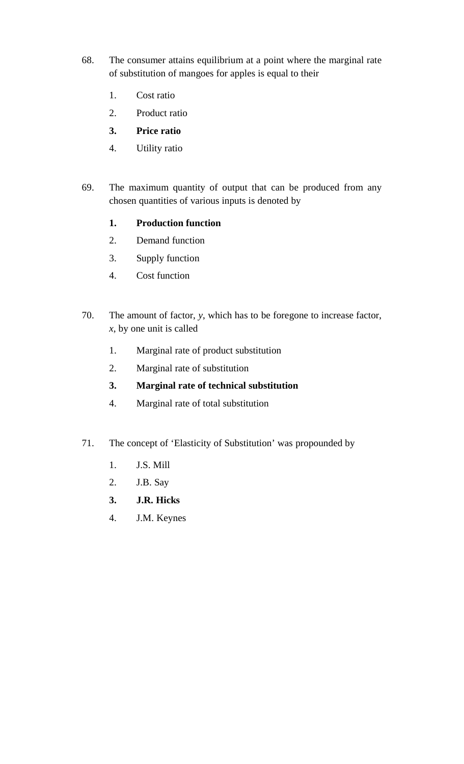- 68. The consumer attains equilibrium at a point where the marginal rate of substitution of mangoes for apples is equal to their
	- 1. Cost ratio
	- 2. Product ratio
	- **3. Price ratio**
	- 4. Utility ratio
- 69. The maximum quantity of output that can be produced from any chosen quantities of various inputs is denoted by
	- **1. Production function**
	- 2. Demand function
	- 3. Supply function
	- 4. Cost function
- 70. The amount of factor, *y*, which has to be foregone to increase factor, *x*, by one unit is called
	- 1. Marginal rate of product substitution
	- 2. Marginal rate of substitution
	- **3. Marginal rate of technical substitution**
	- 4. Marginal rate of total substitution
- 71. The concept of 'Elasticity of Substitution' was propounded by
	- 1. J.S. Mill
	- 2. J.B. Say
	- **3. J.R. Hicks**
	- 4. J.M. Keynes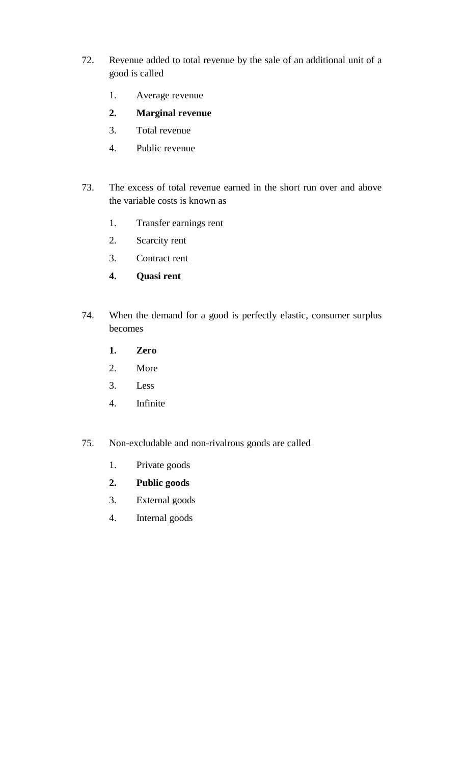- 72. Revenue added to total revenue by the sale of an additional unit of a good is called
	- 1. Average revenue
	- **2. Marginal revenue**
	- 3. Total revenue
	- 4. Public revenue
- 73. The excess of total revenue earned in the short run over and above the variable costs is known as
	- 1. Transfer earnings rent
	- 2. Scarcity rent
	- 3. Contract rent
	- **4. Quasi rent**
- 74. When the demand for a good is perfectly elastic, consumer surplus becomes
	- **1. Zero**
	- 2. More
	- 3. Less
	- 4. Infinite
- 75. Non-excludable and non-rivalrous goods are called
	- 1. Private goods
	- **2. Public goods**
	- 3. External goods
	- 4. Internal goods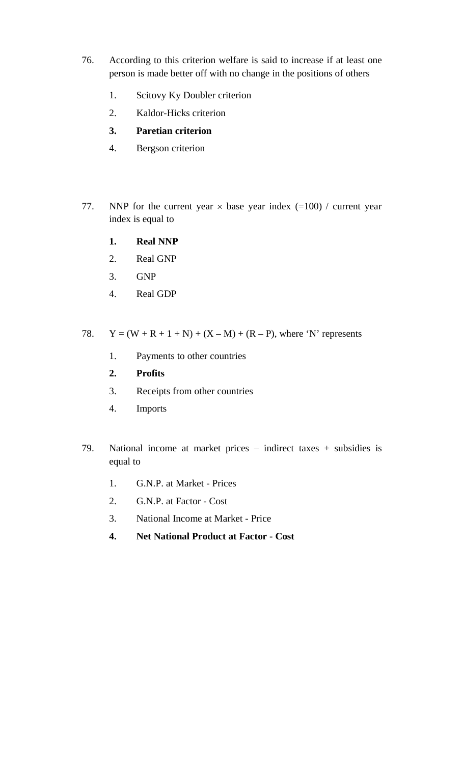- 76. According to this criterion welfare is said to increase if at least one person is made better off with no change in the positions of others
	- 1. Scitovy Ky Doubler criterion
	- 2. Kaldor-Hicks criterion
	- **3. Paretian criterion**
	- 4. Bergson criterion
- 77. NNP for the current year  $\times$  base year index (=100) / current year index is equal to
	- **1. Real NNP**
	- 2. Real GNP
	- 3. GNP
	- 4. Real GDP
- 78.  $Y = (W + R + 1 + N) + (X M) + (R P)$ , where 'N' represents
	- 1. Payments to other countries
	- **2. Profits**
	- 3. Receipts from other countries
	- 4. Imports
- 79. National income at market prices indirect taxes + subsidies is equal to
	- 1. G.N.P. at Market Prices
	- 2. G.N.P. at Factor Cost
	- 3. National Income at Market Price
	- **4. Net National Product at Factor Cost**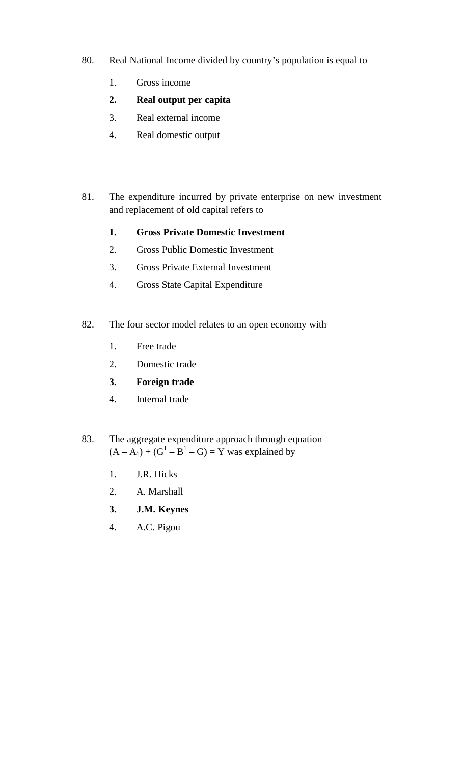- 80. Real National Income divided by country's population is equal to
	- 1. Gross income
	- **2. Real output per capita**
	- 3. Real external income
	- 4. Real domestic output
- 81. The expenditure incurred by private enterprise on new investment and replacement of old capital refers to
	- **1. Gross Private Domestic Investment**
	- 2. Gross Public Domestic Investment
	- 3. Gross Private External Investment
	- 4. Gross State Capital Expenditure
- 82. The four sector model relates to an open economy with
	- 1. Free trade
	- 2. Domestic trade
	- **3. Foreign trade**
	- 4. Internal trade
- 83. The aggregate expenditure approach through equation  $(A - A_1) + (G^1 - B^1 - G) = Y$  was explained by
	- 1. J.R. Hicks
	- 2. A. Marshall
	- **3. J.M. Keynes**
	- 4. A.C. Pigou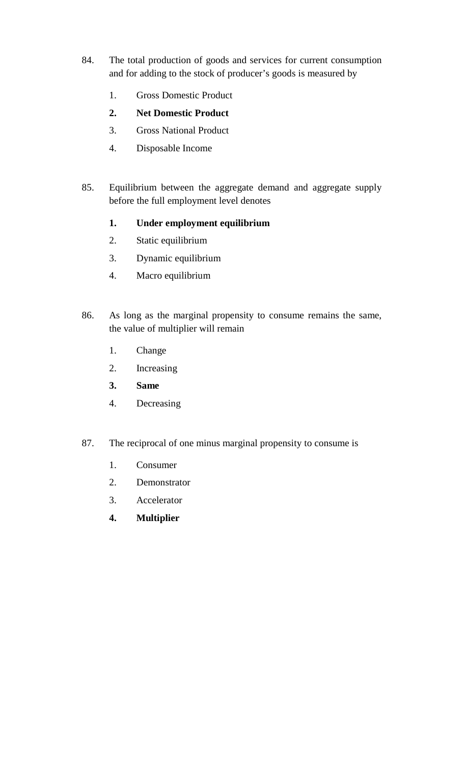- 84. The total production of goods and services for current consumption and for adding to the stock of producer's goods is measured by
	- 1. Gross Domestic Product
	- **2. Net Domestic Product**
	- 3. Gross National Product
	- 4. Disposable Income
- 85. Equilibrium between the aggregate demand and aggregate supply before the full employment level denotes
	- **1. Under employment equilibrium**
	- 2. Static equilibrium
	- 3. Dynamic equilibrium
	- 4. Macro equilibrium
- 86. As long as the marginal propensity to consume remains the same, the value of multiplier will remain
	- 1. Change
	- 2. Increasing
	- **3. Same**
	- 4. Decreasing
- 87. The reciprocal of one minus marginal propensity to consume is
	- 1. Consumer
	- 2. Demonstrator
	- 3. Accelerator
	- **4. Multiplier**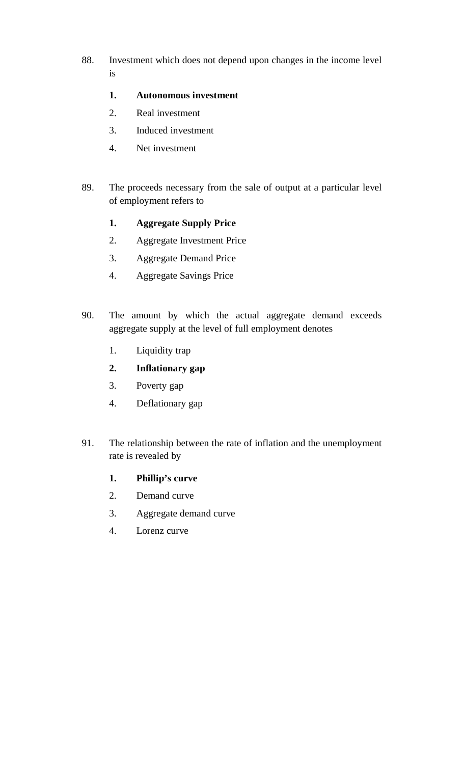88. Investment which does not depend upon changes in the income level is

#### **1. Autonomous investment**

- 2. Real investment
- 3. Induced investment
- 4. Net investment
- 89. The proceeds necessary from the sale of output at a particular level of employment refers to
	- **1. Aggregate Supply Price**
	- 2. Aggregate Investment Price
	- 3. Aggregate Demand Price
	- 4. Aggregate Savings Price
- 90. The amount by which the actual aggregate demand exceeds aggregate supply at the level of full employment denotes
	- 1. Liquidity trap
	- **2. Inflationary gap**
	- 3. Poverty gap
	- 4. Deflationary gap
- 91. The relationship between the rate of inflation and the unemployment rate is revealed by

#### **1. Phillip's curve**

- 2. Demand curve
- 3. Aggregate demand curve
- 4. Lorenz curve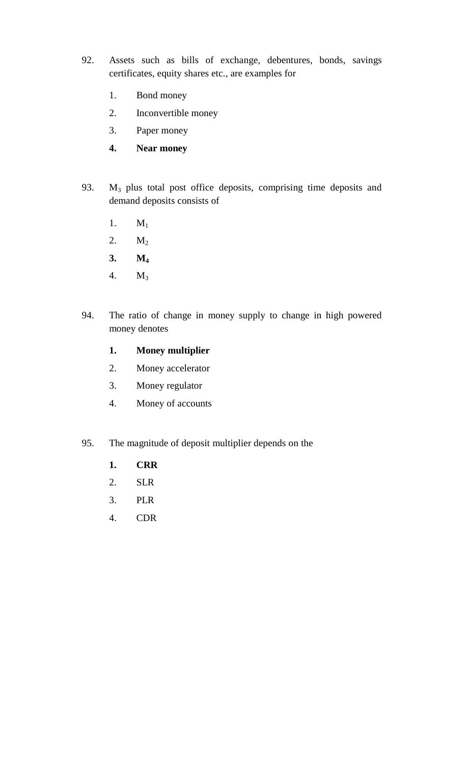- 92. Assets such as bills of exchange, debentures, bonds, savings certificates, equity shares etc., are examples for
	- 1. Bond money
	- 2. Inconvertible money
	- 3. Paper money
	- **4. Near money**
- 93. M3 plus total post office deposits, comprising time deposits and demand deposits consists of
	- 1.  $M_1$
	- 2. M<sub>2</sub>
	- **3. M<sup>4</sup>**
	- 4. M<sup>3</sup>
- 94. The ratio of change in money supply to change in high powered money denotes

#### **1. Money multiplier**

- 2. Money accelerator
- 3. Money regulator
- 4. Money of accounts
- 95. The magnitude of deposit multiplier depends on the
	- **1. CRR**
	- 2. SLR
	- 3. PLR
	- 4. CDR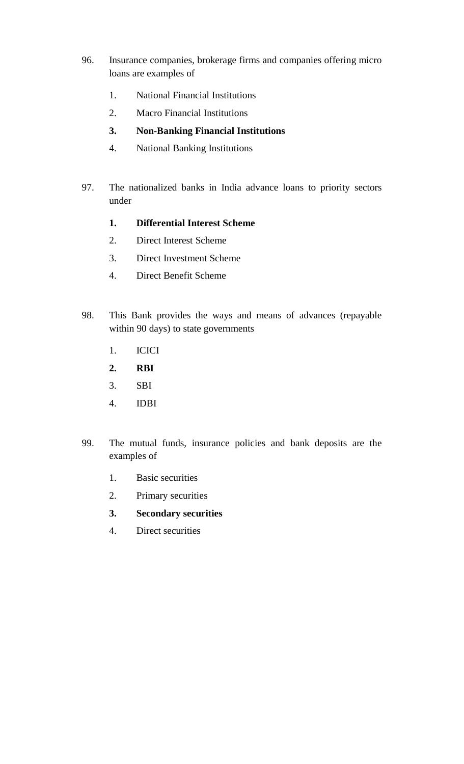- 96. Insurance companies, brokerage firms and companies offering micro loans are examples of
	- 1. National Financial Institutions
	- 2. Macro Financial Institutions
	- **3. Non-Banking Financial Institutions**
	- 4. National Banking Institutions
- 97. The nationalized banks in India advance loans to priority sectors under
	- **1. Differential Interest Scheme**
	- 2. Direct Interest Scheme
	- 3. Direct Investment Scheme
	- 4. Direct Benefit Scheme
- 98. This Bank provides the ways and means of advances (repayable within 90 days) to state governments
	- 1. ICICI
	- **2. RBI**
	- 3. SBI
	- 4. IDBI
- 99. The mutual funds, insurance policies and bank deposits are the examples of
	- 1. Basic securities
	- 2. Primary securities
	- **3. Secondary securities**
	- 4. Direct securities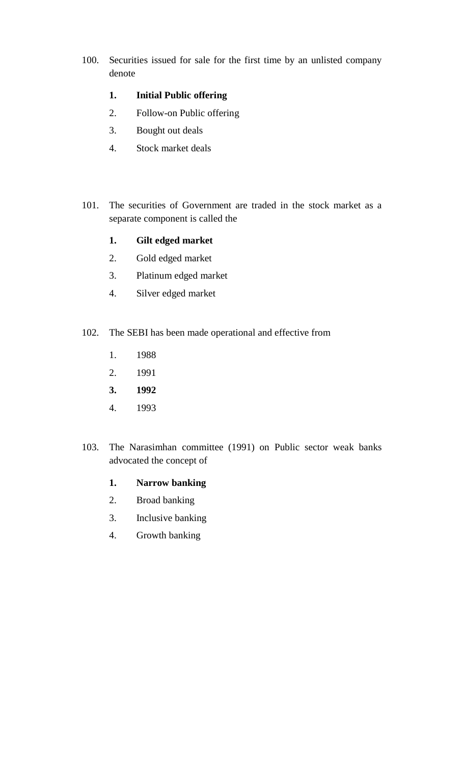100. Securities issued for sale for the first time by an unlisted company denote

#### **1. Initial Public offering**

- 2. Follow-on Public offering
- 3. Bought out deals
- 4. Stock market deals
- 101. The securities of Government are traded in the stock market as a separate component is called the

#### **1. Gilt edged market**

- 2. Gold edged market
- 3. Platinum edged market
- 4. Silver edged market
- 102. The SEBI has been made operational and effective from
	- 1. 1988
	- 2. 1991
	- **3. 1992**
	- 4. 1993
- 103. The Narasimhan committee (1991) on Public sector weak banks advocated the concept of
	- **1. Narrow banking**
	- 2. Broad banking
	- 3. Inclusive banking
	- 4. Growth banking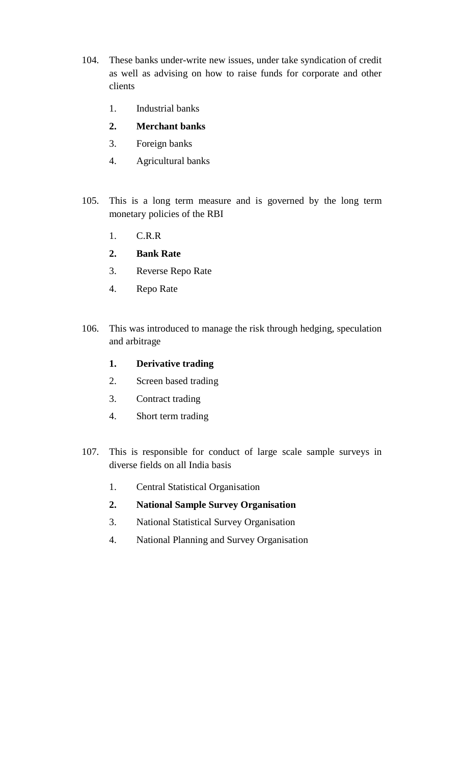- 104. These banks under-write new issues, under take syndication of credit as well as advising on how to raise funds for corporate and other clients
	- 1. Industrial banks
	- **2. Merchant banks**
	- 3. Foreign banks
	- 4. Agricultural banks
- 105. This is a long term measure and is governed by the long term monetary policies of the RBI
	- 1. C.R.R
	- **2. Bank Rate**
	- 3. Reverse Repo Rate
	- 4. Repo Rate
- 106. This was introduced to manage the risk through hedging, speculation and arbitrage
	- **1. Derivative trading**
	- 2. Screen based trading
	- 3. Contract trading
	- 4. Short term trading
- 107. This is responsible for conduct of large scale sample surveys in diverse fields on all India basis
	- 1. Central Statistical Organisation
	- **2. National Sample Survey Organisation**
	- 3. National Statistical Survey Organisation
	- 4. National Planning and Survey Organisation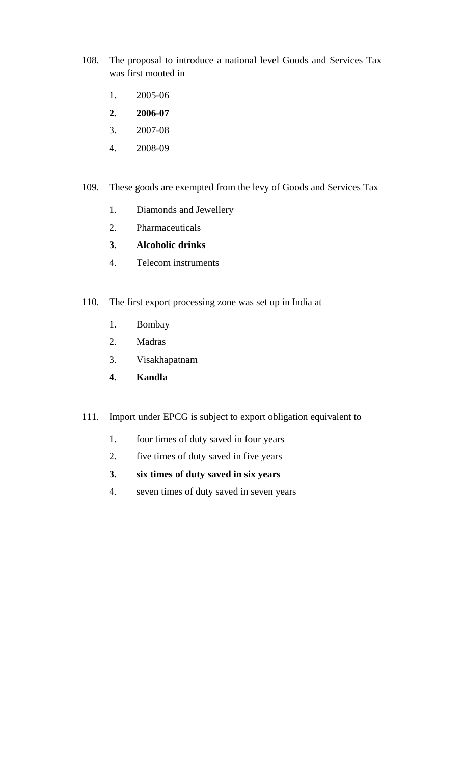- 108. The proposal to introduce a national level Goods and Services Tax was first mooted in
	- 1. 2005-06
	- **2. 2006-07**
	- 3. 2007-08
	- 4. 2008-09
- 109. These goods are exempted from the levy of Goods and Services Tax
	- 1. Diamonds and Jewellery
	- 2. Pharmaceuticals

#### **3. Alcoholic drinks**

- 4. Telecom instruments
- 110. The first export processing zone was set up in India at
	- 1. Bombay
	- 2. Madras
	- 3. Visakhapatnam
	- **4. Kandla**
- 111. Import under EPCG is subject to export obligation equivalent to
	- 1. four times of duty saved in four years
	- 2. five times of duty saved in five years
	- **3. six times of duty saved in six years**
	- 4. seven times of duty saved in seven years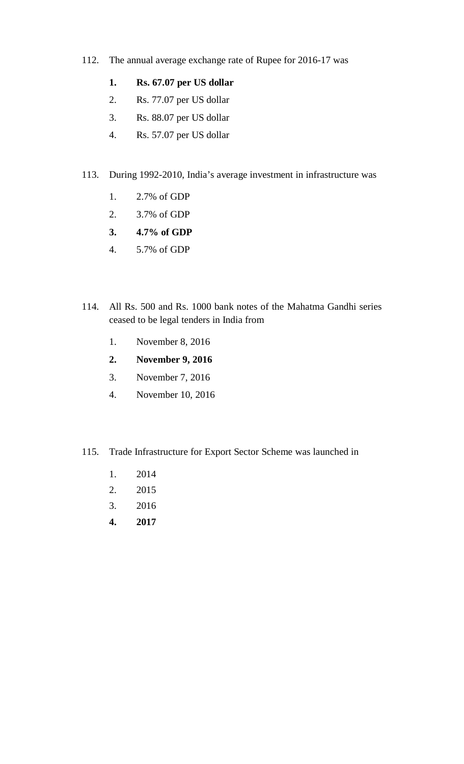- 112. The annual average exchange rate of Rupee for 2016-17 was
	- **1. Rs. 67.07 per US dollar**
	- 2. Rs. 77.07 per US dollar
	- 3. Rs. 88.07 per US dollar
	- 4. Rs. 57.07 per US dollar
- 113. During 1992-2010, India's average investment in infrastructure was
	- 1. 2.7% of GDP
	- 2. 3.7% of GDP
	- **3. 4.7% of GDP**
	- 4. 5.7% of GDP
- 114. All Rs. 500 and Rs. 1000 bank notes of the Mahatma Gandhi series ceased to be legal tenders in India from
	- 1. November 8, 2016
	- **2. November 9, 2016**
	- 3. November 7, 2016
	- 4. November 10, 2016
- 115. Trade Infrastructure for Export Sector Scheme was launched in
	- 1. 2014
	- 2. 2015
	- 3. 2016
	- **4. 2017**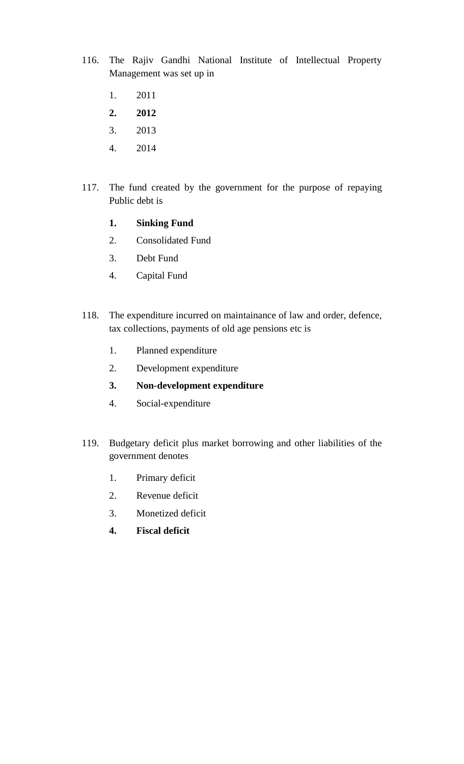- 116. The Rajiv Gandhi National Institute of Intellectual Property Management was set up in
	- 1. 2011
	- **2. 2012**
	- 3. 2013
	- 4. 2014
- 117. The fund created by the government for the purpose of repaying Public debt is
	- **1. Sinking Fund**
	- 2. Consolidated Fund
	- 3. Debt Fund
	- 4. Capital Fund
- 118. The expenditure incurred on maintainance of law and order, defence, tax collections, payments of old age pensions etc is
	- 1. Planned expenditure
	- 2. Development expenditure
	- **3. Non-development expenditure**
	- 4. Social-expenditure
- 119. Budgetary deficit plus market borrowing and other liabilities of the government denotes
	- 1. Primary deficit
	- 2. Revenue deficit
	- 3. Monetized deficit
	- **4. Fiscal deficit**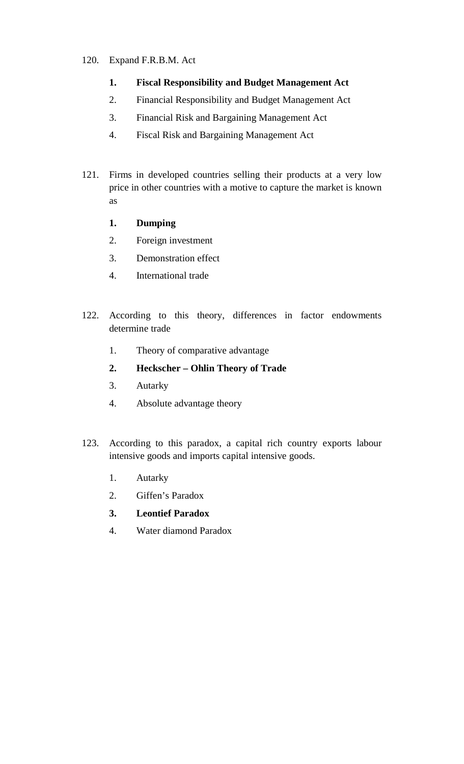#### 120. Expand F.R.B.M. Act

- **1. Fiscal Responsibility and Budget Management Act**
- 2. Financial Responsibility and Budget Management Act
- 3. Financial Risk and Bargaining Management Act
- 4. Fiscal Risk and Bargaining Management Act
- 121. Firms in developed countries selling their products at a very low price in other countries with a motive to capture the market is known as
	- **1. Dumping**
	- 2. Foreign investment
	- 3. Demonstration effect
	- 4. International trade
- 122. According to this theory, differences in factor endowments determine trade
	- 1. Theory of comparative advantage
	- **2. Heckscher Ohlin Theory of Trade**
	- 3. Autarky
	- 4. Absolute advantage theory
- 123. According to this paradox, a capital rich country exports labour intensive goods and imports capital intensive goods.
	- 1. Autarky
	- 2. Giffen's Paradox
	- **3. Leontief Paradox**
	- 4. Water diamond Paradox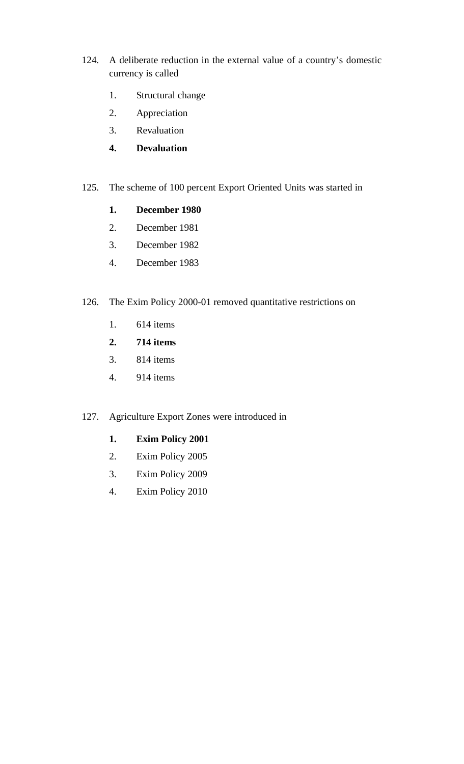- 124. A deliberate reduction in the external value of a country's domestic currency is called
	- 1. Structural change
	- 2. Appreciation
	- 3. Revaluation
	- **4. Devaluation**
- 125. The scheme of 100 percent Export Oriented Units was started in
	- **1. December 1980**
	- 2. December 1981
	- 3. December 1982
	- 4. December 1983
- 126. The Exim Policy 2000-01 removed quantitative restrictions on
	- 1. 614 items
	- **2. 714 items**
	- 3. 814 items
	- 4. 914 items
- 127. Agriculture Export Zones were introduced in
	- **1. Exim Policy 2001**
	- 2. Exim Policy 2005
	- 3. Exim Policy 2009
	- 4. Exim Policy 2010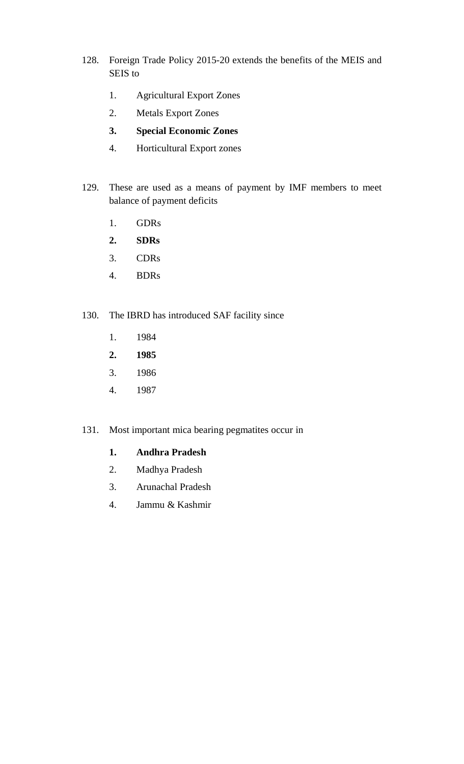- 128. Foreign Trade Policy 2015-20 extends the benefits of the MEIS and SEIS to
	- 1. Agricultural Export Zones
	- 2. Metals Export Zones
	- **3. Special Economic Zones**
	- 4. Horticultural Export zones
- 129. These are used as a means of payment by IMF members to meet balance of payment deficits
	- 1. GDRs
	- **2. SDRs**
	- 3. CDRs
	- 4. BDRs
- 130. The IBRD has introduced SAF facility since
	- 1. 1984
	- **2. 1985**
	- 3. 1986
	- 4. 1987
- 131. Most important mica bearing pegmatites occur in

#### **1. Andhra Pradesh**

- 2. Madhya Pradesh
- 3. Arunachal Pradesh
- 4. Jammu & Kashmir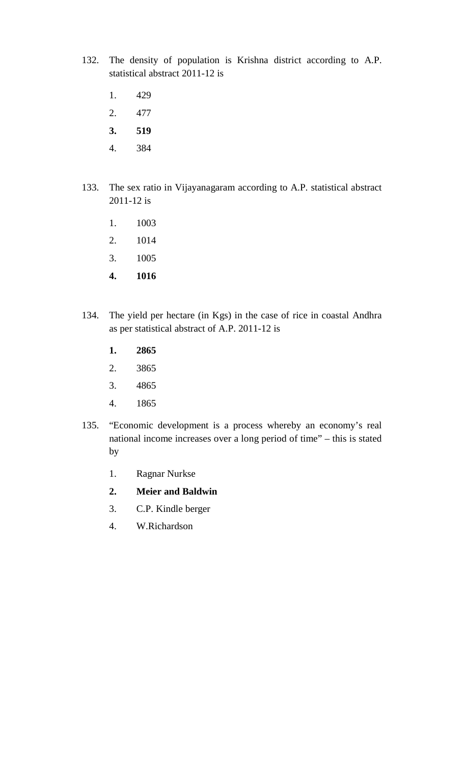- 132. The density of population is Krishna district according to A.P. statistical abstract 2011-12 is
	- 1. 429
	- 2. 477
	- **3. 519**
	- 4. 384
- 133. The sex ratio in Vijayanagaram according to A.P. statistical abstract 2011-12 is
	- 1. 1003
	- 2. 1014
	- 3. 1005
	- **4. 1016**
- 134. The yield per hectare (in Kgs) in the case of rice in coastal Andhra as per statistical abstract of A.P. 2011-12 is
	- **1. 2865**
	- 2. 3865
	- 3. 4865
	- 4. 1865
- 135. "Economic development is a process whereby an economy's real national income increases over a long period of time" – this is stated by
	- 1. Ragnar Nurkse
	- **2. Meier and Baldwin**
	- 3. C.P. Kindle berger
	- 4. W.Richardson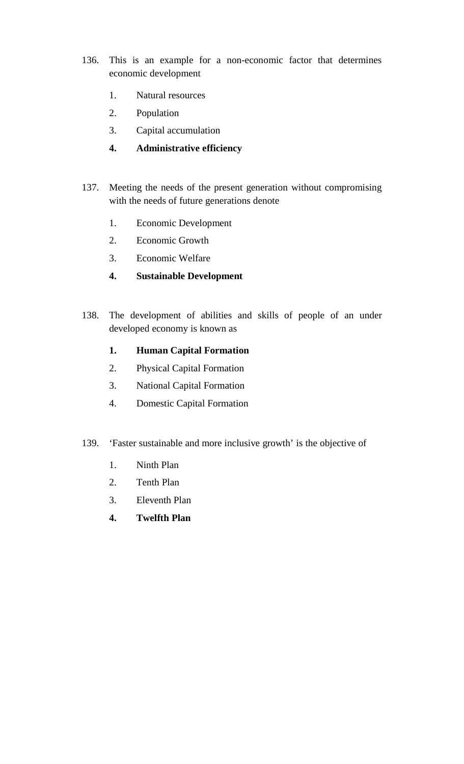- 136. This is an example for a non-economic factor that determines economic development
	- 1. Natural resources
	- 2. Population
	- 3. Capital accumulation
	- **4. Administrative efficiency**
- 137. Meeting the needs of the present generation without compromising with the needs of future generations denote
	- 1. Economic Development
	- 2. Economic Growth
	- 3. Economic Welfare
	- **4. Sustainable Development**
- 138. The development of abilities and skills of people of an under developed economy is known as
	- **1. Human Capital Formation**
	- 2. Physical Capital Formation
	- 3. National Capital Formation
	- 4. Domestic Capital Formation
- 139. 'Faster sustainable and more inclusive growth' is the objective of
	- 1. Ninth Plan
	- 2. Tenth Plan
	- 3. Eleventh Plan
	- **4. Twelfth Plan**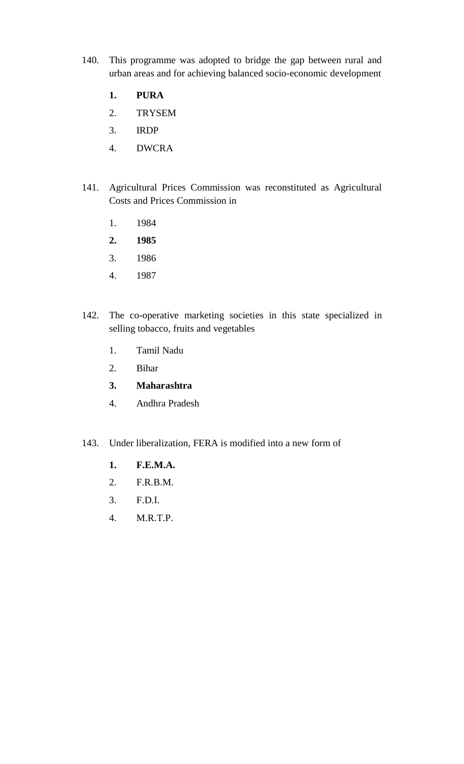- 140. This programme was adopted to bridge the gap between rural and urban areas and for achieving balanced socio-economic development
	- **1. PURA**
	- 2. TRYSEM
	- 3. IRDP
	- 4. DWCRA
- 141. Agricultural Prices Commission was reconstituted as Agricultural Costs and Prices Commission in
	- 1. 1984
	- **2. 1985**
	- 3. 1986
	- 4. 1987
- 142. The co-operative marketing societies in this state specialized in selling tobacco, fruits and vegetables
	- 1. Tamil Nadu
	- 2. Bihar

#### **3. Maharashtra**

- 4. Andhra Pradesh
- 143. Under liberalization, FERA is modified into a new form of
	- **1. F.E.M.A.**
	- 2. F.R.B.M.
	- 3. F.D.I.
	- 4. M.R.T.P.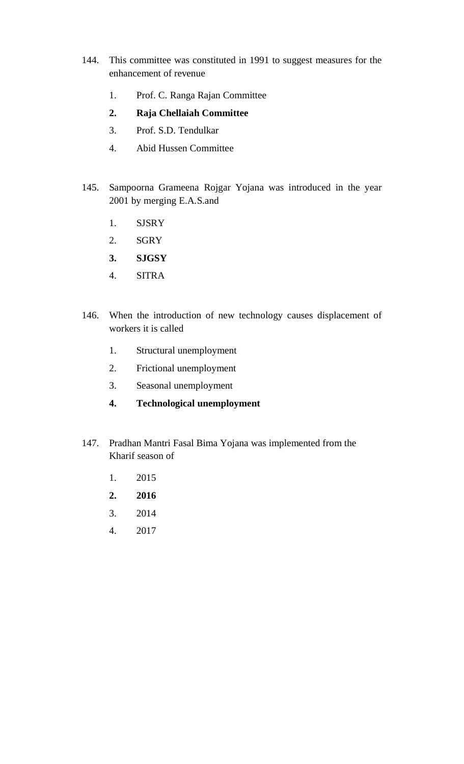- 144. This committee was constituted in 1991 to suggest measures for the enhancement of revenue
	- 1. Prof. C. Ranga Rajan Committee
	- **2. Raja Chellaiah Committee**
	- 3. Prof. S.D. Tendulkar
	- 4. Abid Hussen Committee
- 145. Sampoorna Grameena Rojgar Yojana was introduced in the year 2001 by merging E.A.S.and
	- 1. SJSRY
	- 2. SGRY
	- **3. SJGSY**
	- 4. SITRA
- 146. When the introduction of new technology causes displacement of workers it is called
	- 1. Structural unemployment
	- 2. Frictional unemployment
	- 3. Seasonal unemployment
	- **4. Technological unemployment**
- 147. Pradhan Mantri Fasal Bima Yojana was implemented from the Kharif season of
	- 1. 2015
	- **2. 2016**
	- 3. 2014
	- 4. 2017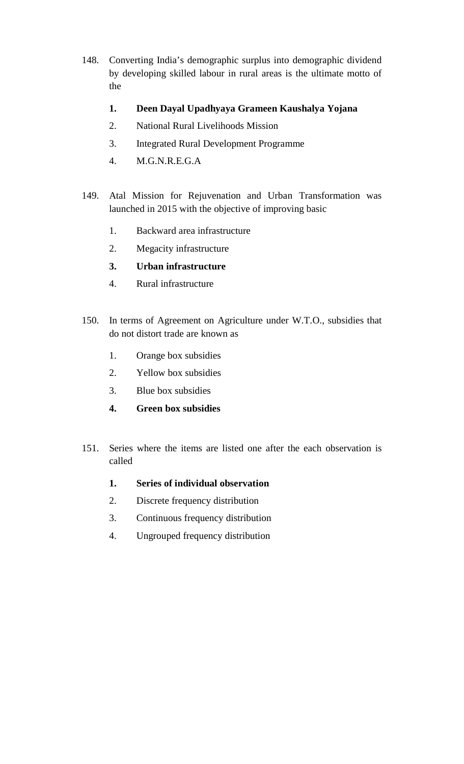- 148. Converting India's demographic surplus into demographic dividend by developing skilled labour in rural areas is the ultimate motto of the
	- **1. Deen Dayal Upadhyaya Grameen Kaushalya Yojana**
	- 2. National Rural Livelihoods Mission
	- 3. Integrated Rural Development Programme
	- 4. M.G.N.R.E.G.A
- 149. Atal Mission for Rejuvenation and Urban Transformation was launched in 2015 with the objective of improving basic
	- 1. Backward area infrastructure
	- 2. Megacity infrastructure
	- **3. Urban infrastructure**
	- 4. Rural infrastructure
- 150. In terms of Agreement on Agriculture under W.T.O., subsidies that do not distort trade are known as
	- 1. Orange box subsidies
	- 2. Yellow box subsidies
	- 3. Blue box subsidies
	- **4. Green box subsidies**
- 151. Series where the items are listed one after the each observation is called
	- **1. Series of individual observation**
	- 2. Discrete frequency distribution
	- 3. Continuous frequency distribution
	- 4. Ungrouped frequency distribution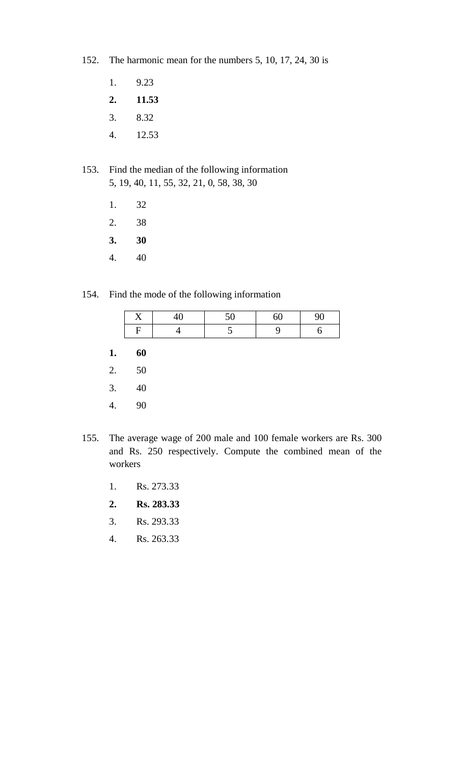- 152. The harmonic mean for the numbers 5, 10, 17, 24, 30 is
	- 1. 9.23
	- **2. 11.53**
	- 3. 8.32
	- 4. 12.53
- 153. Find the median of the following information 5, 19, 40, 11, 55, 32, 21, 0, 58, 38, 30
	- 1. 32
	- 2. 38
	- **3. 30**
	- 4. 40
- 154. Find the mode of the following information

| $\mathbf{r}$<br>Δ | $\mathbf{r}$<br>JU. | $\checkmark$ | ഹ |
|-------------------|---------------------|--------------|---|
| Ħ                 |                     |              |   |
| 60                |                     |              |   |

- 
- 2. 50
- 3. 40
- 4. 90
- 155. The average wage of 200 male and 100 female workers are Rs. 300 and Rs. 250 respectively. Compute the combined mean of the workers
	- 1. Rs. 273.33
	- **2. Rs. 283.33**
	- 3. Rs. 293.33
	- 4. Rs. 263.33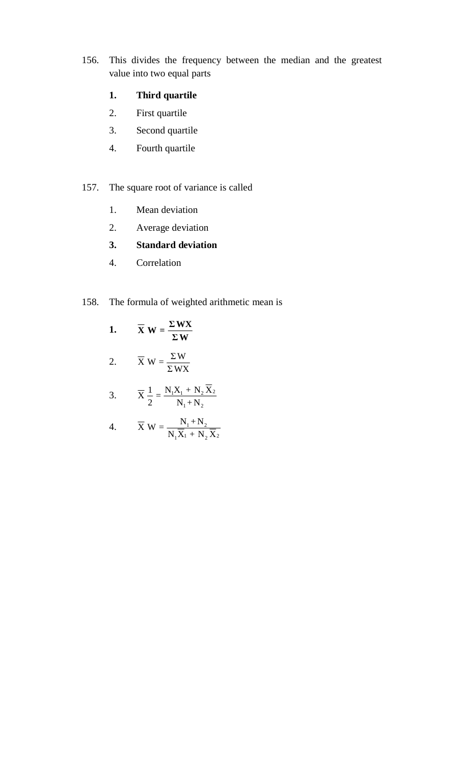156. This divides the frequency between the median and the greatest value into two equal parts

#### **1. Third quartile**

- 2. First quartile
- 3. Second quartile
- 4. Fourth quartile
- 157. The square root of variance is called
	- 1. Mean deviation
	- 2. Average deviation
	- **3. Standard deviation**
	- 4. Correlation

## 158. The formula of weighted arithmetic mean is

1. 
$$
\overline{X} W = \frac{\Sigma W X}{\Sigma W}
$$

2. 
$$
\overline{X}
$$
 W =  $\frac{\Sigma W}{\Sigma W X}$ 

3. 
$$
\overline{X} \frac{1}{2} = \frac{N_1 X_1 + N_2 \overline{X}_2}{N_1 + N_2}
$$

4. 
$$
\overline{X} W = \frac{N_1 + N_2}{N_1 \overline{X}_1 + N_2 \overline{X}_2}
$$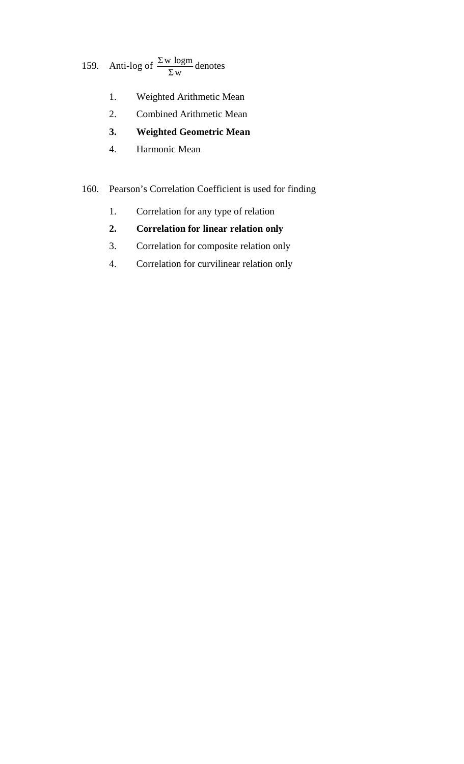#### 159. Anti-log of  $\frac{\Sigma w \log m}{D}$ Σw denotes

- 1. Weighted Arithmetic Mean
- 2. Combined Arithmetic Mean
- **3. Weighted Geometric Mean**
- 4. Harmonic Mean

#### 160. Pearson's Correlation Coefficient is used for finding

- 1. Correlation for any type of relation
- **2. Correlation for linear relation only**
- 3. Correlation for composite relation only
- 4. Correlation for curvilinear relation only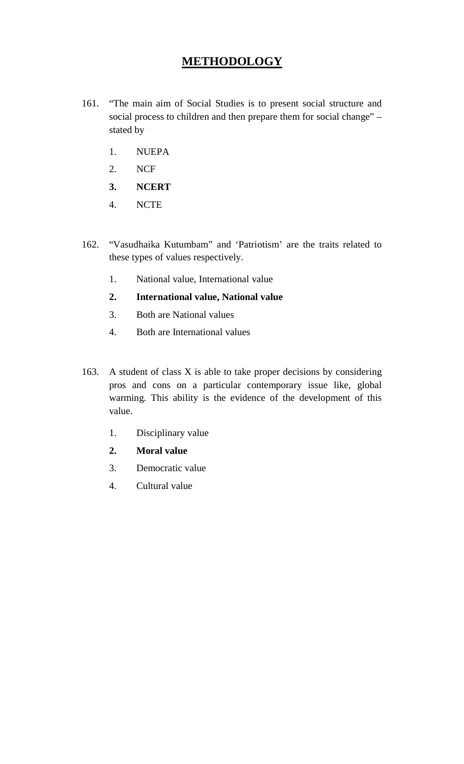### **METHODOLOGY**

- 161. "The main aim of Social Studies is to present social structure and social process to children and then prepare them for social change" – stated by
	- 1. NUEPA
	- 2. NCF
	- **3. NCERT**
	- 4. NCTE
- 162. "Vasudhaika Kutumbam" and 'Patriotism' are the traits related to these types of values respectively.
	- 1. National value, International value
	- **2. International value, National value**
	- 3. Both are National values
	- 4. Both are International values
- 163. A student of class X is able to take proper decisions by considering pros and cons on a particular contemporary issue like, global warming. This ability is the evidence of the development of this value.
	- 1. Disciplinary value
	- **2. Moral value**
	- 3. Democratic value
	- 4. Cultural value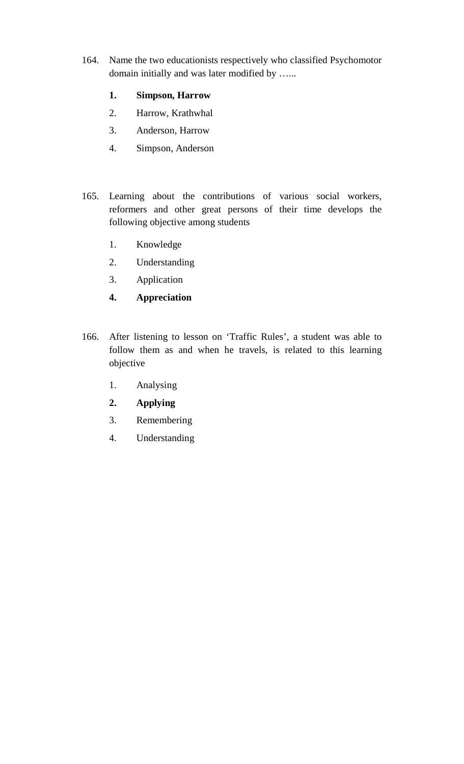164. Name the two educationists respectively who classified Psychomotor domain initially and was later modified by …...

#### **1. Simpson, Harrow**

- 2. Harrow, Krathwhal
- 3. Anderson, Harrow
- 4. Simpson, Anderson
- 165. Learning about the contributions of various social workers, reformers and other great persons of their time develops the following objective among students
	- 1. Knowledge
	- 2. Understanding
	- 3. Application
	- **4. Appreciation**
- 166. After listening to lesson on 'Traffic Rules', a student was able to follow them as and when he travels, is related to this learning objective
	- 1. Analysing
	- **2. Applying**
	- 3. Remembering
	- 4. Understanding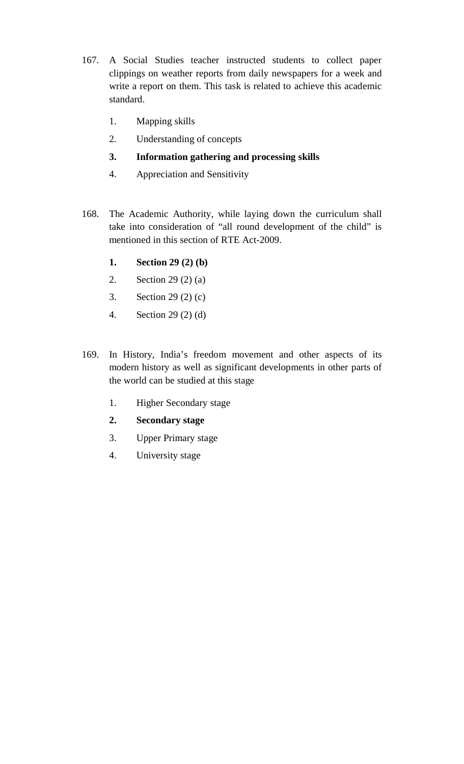- 167. A Social Studies teacher instructed students to collect paper clippings on weather reports from daily newspapers for a week and write a report on them. This task is related to achieve this academic standard.
	- 1. Mapping skills
	- 2. Understanding of concepts
	- **3. Information gathering and processing skills**
	- 4. Appreciation and Sensitivity
- 168. The Academic Authority, while laying down the curriculum shall take into consideration of "all round development of the child" is mentioned in this section of RTE Act-2009.
	- **1. Section 29 (2) (b)**
	- 2. Section 29 (2) (a)
	- 3. Section 29 (2) (c)
	- 4. Section 29 (2) (d)
- 169. In History, India's freedom movement and other aspects of its modern history as well as significant developments in other parts of the world can be studied at this stage
	- 1. Higher Secondary stage
	- **2. Secondary stage**
	- 3. Upper Primary stage
	- 4. University stage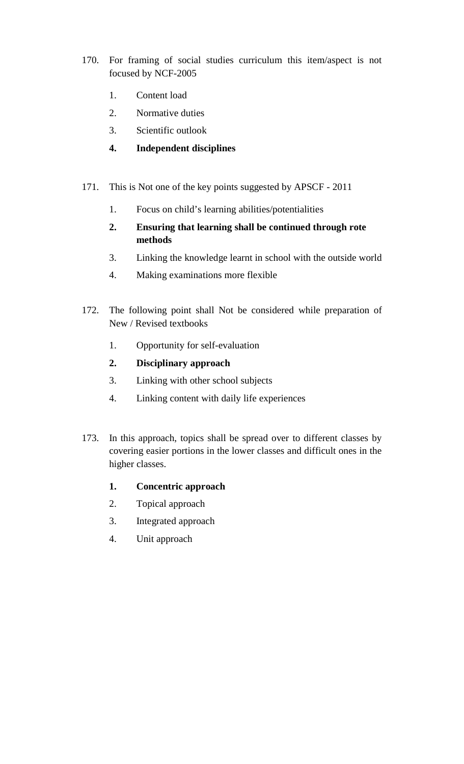- 170. For framing of social studies curriculum this item/aspect is not focused by NCF-2005
	- 1. Content load
	- 2. Normative duties
	- 3. Scientific outlook
	- **4. Independent disciplines**
- 171. This is Not one of the key points suggested by APSCF 2011
	- 1. Focus on child's learning abilities/potentialities
	- **2. Ensuring that learning shall be continued through rote methods**
	- 3. Linking the knowledge learnt in school with the outside world
	- 4. Making examinations more flexible
- 172. The following point shall Not be considered while preparation of New / Revised textbooks
	- 1. Opportunity for self-evaluation
	- **2. Disciplinary approach**
	- 3. Linking with other school subjects
	- 4. Linking content with daily life experiences
- 173. In this approach, topics shall be spread over to different classes by covering easier portions in the lower classes and difficult ones in the higher classes.
	- **1. Concentric approach**
	- 2. Topical approach
	- 3. Integrated approach
	- 4. Unit approach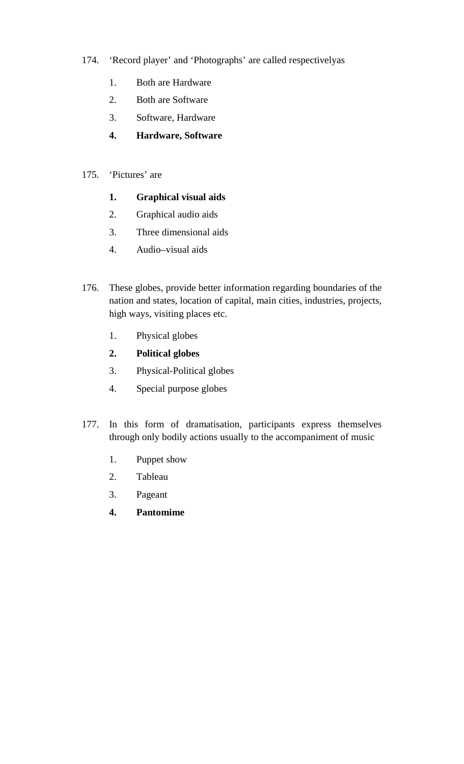- 174. 'Record player' and 'Photographs' are called respectivelyas
	- 1. Both are Hardware
	- 2. Both are Software
	- 3. Software, Hardware
	- **4. Hardware, Software**
- 175. 'Pictures' are
	- **1. Graphical visual aids**
	- 2. Graphical audio aids
	- 3. Three dimensional aids
	- 4. Audio–visual aids
- 176. These globes, provide better information regarding boundaries of the nation and states, location of capital, main cities, industries, projects, high ways, visiting places etc.
	- 1. Physical globes
	- **2. Political globes**
	- 3. Physical-Political globes
	- 4. Special purpose globes
- 177. In this form of dramatisation, participants express themselves through only bodily actions usually to the accompaniment of music
	- 1. Puppet show
	- 2. Tableau
	- 3. Pageant
	- **4. Pantomime**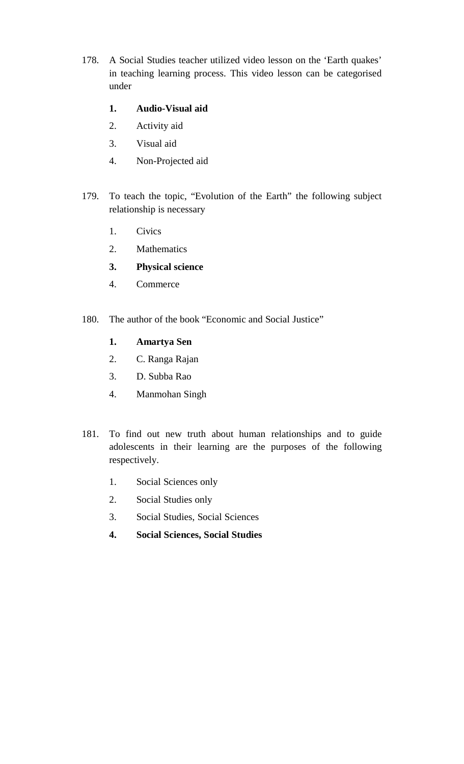178. A Social Studies teacher utilized video lesson on the 'Earth quakes' in teaching learning process. This video lesson can be categorised under

### **1. Audio-Visual aid**

- 2. Activity aid
- 3. Visual aid
- 4. Non-Projected aid
- 179. To teach the topic, "Evolution of the Earth" the following subject relationship is necessary
	- 1. Civics
	- 2. Mathematics
	- **3. Physical science**
	- 4. Commerce
- 180. The author of the book "Economic and Social Justice"
	- **1. Amartya Sen**
	- 2. C. Ranga Rajan
	- 3. D. Subba Rao
	- 4. Manmohan Singh
- 181. To find out new truth about human relationships and to guide adolescents in their learning are the purposes of the following respectively.
	- 1. Social Sciences only
	- 2. Social Studies only
	- 3. Social Studies, Social Sciences
	- **4. Social Sciences, Social Studies**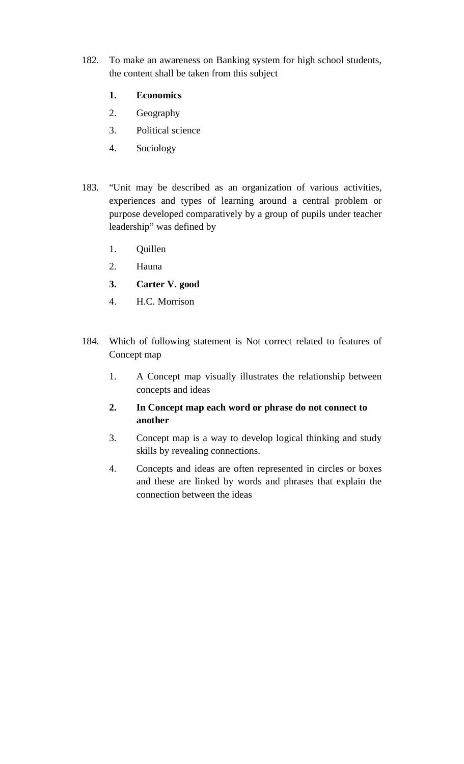182. To make an awareness on Banking system for high school students, the content shall be taken from this subject

#### **1. Economics**

- 2. Geography
- 3. Political science
- 4. Sociology
- 183. "Unit may be described as an organization of various activities, experiences and types of learning around a central problem or purpose developed comparatively by a group of pupils under teacher leadership" was defined by
	- 1. Quillen
	- 2. Hauna
	- **3. Carter V. good**
	- 4. H.C. Morrison
- 184. Which of following statement is Not correct related to features of Concept map
	- 1. A Concept map visually illustrates the relationship between concepts and ideas
	- **2. In Concept map each word or phrase do not connect to another**
	- 3. Concept map is a way to develop logical thinking and study skills by revealing connections.
	- 4. Concepts and ideas are often represented in circles or boxes and these are linked by words and phrases that explain the connection between the ideas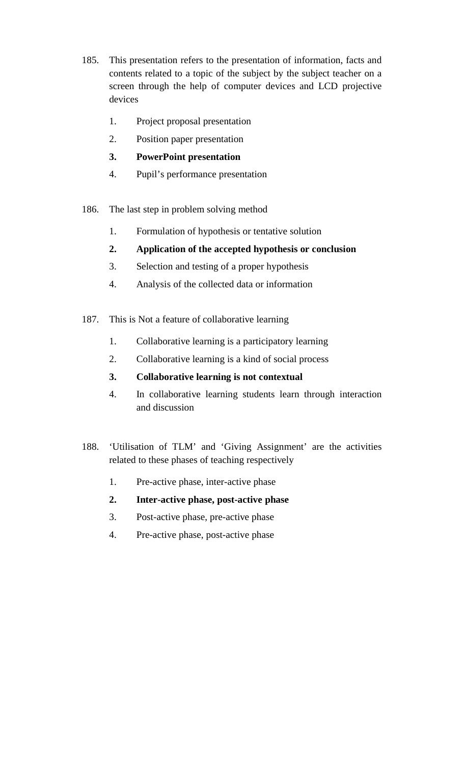- 185. This presentation refers to the presentation of information, facts and contents related to a topic of the subject by the subject teacher on a screen through the help of computer devices and LCD projective devices
	- 1. Project proposal presentation
	- 2. Position paper presentation
	- **3. PowerPoint presentation**
	- 4. Pupil's performance presentation
- 186. The last step in problem solving method
	- 1. Formulation of hypothesis or tentative solution
	- **2. Application of the accepted hypothesis or conclusion**
	- 3. Selection and testing of a proper hypothesis
	- 4. Analysis of the collected data or information
- 187. This is Not a feature of collaborative learning
	- 1. Collaborative learning is a participatory learning
	- 2. Collaborative learning is a kind of social process
	- **3. Collaborative learning is not contextual**
	- 4. In collaborative learning students learn through interaction and discussion
- 188. 'Utilisation of TLM' and 'Giving Assignment' are the activities related to these phases of teaching respectively
	- 1. Pre-active phase, inter-active phase
	- **2. Inter-active phase, post-active phase**
	- 3. Post-active phase, pre-active phase
	- 4. Pre-active phase, post-active phase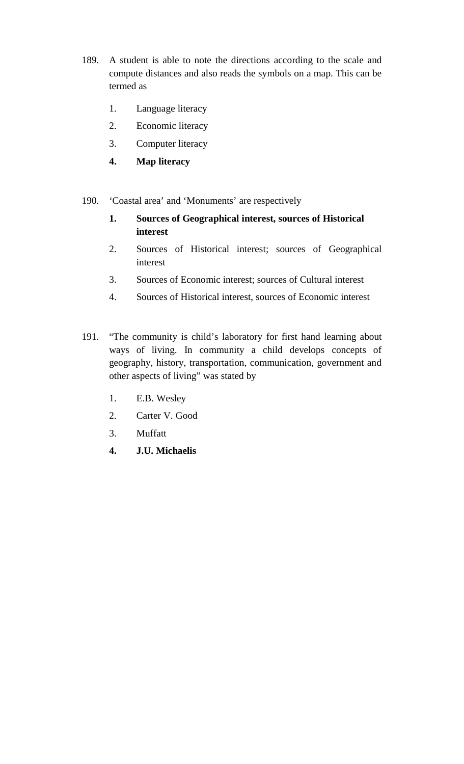- 189. A student is able to note the directions according to the scale and compute distances and also reads the symbols on a map. This can be termed as
	- 1. Language literacy
	- 2. Economic literacy
	- 3. Computer literacy
	- **4. Map literacy**
- 190. 'Coastal area' and 'Monuments' are respectively
	- **1. Sources of Geographical interest, sources of Historical interest**
	- 2. Sources of Historical interest; sources of Geographical interest
	- 3. Sources of Economic interest; sources of Cultural interest
	- 4. Sources of Historical interest, sources of Economic interest
- 191. "The community is child's laboratory for first hand learning about ways of living. In community a child develops concepts of geography, history, transportation, communication, government and other aspects of living" was stated by
	- 1. E.B. Wesley
	- 2. Carter V. Good
	- 3. Muffatt
	- **4. J.U. Michaelis**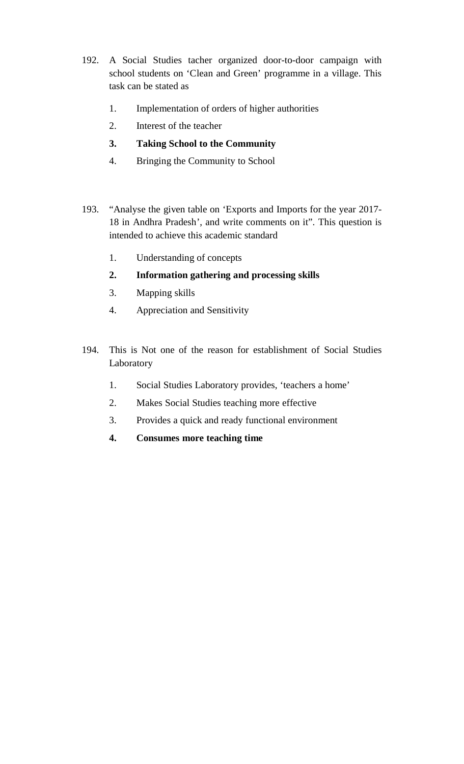- 192. A Social Studies tacher organized door-to-door campaign with school students on 'Clean and Green' programme in a village. This task can be stated as
	- 1. Implementation of orders of higher authorities
	- 2. Interest of the teacher
	- **3. Taking School to the Community**
	- 4. Bringing the Community to School
- 193. "Analyse the given table on 'Exports and Imports for the year 2017- 18 in Andhra Pradesh', and write comments on it". This question is intended to achieve this academic standard
	- 1. Understanding of concepts
	- **2. Information gathering and processing skills**
	- 3. Mapping skills
	- 4. Appreciation and Sensitivity
- 194. This is Not one of the reason for establishment of Social Studies Laboratory
	- 1. Social Studies Laboratory provides, 'teachers a home'
	- 2. Makes Social Studies teaching more effective
	- 3. Provides a quick and ready functional environment
	- **4. Consumes more teaching time**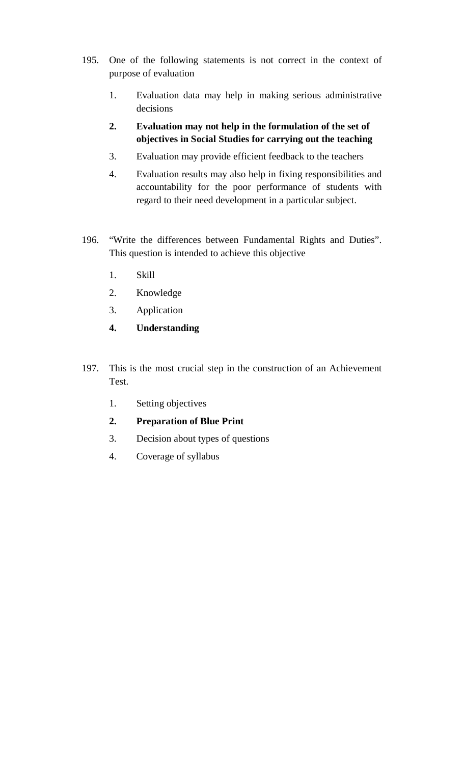- 195. One of the following statements is not correct in the context of purpose of evaluation
	- 1. Evaluation data may help in making serious administrative decisions
	- **2. Evaluation may not help in the formulation of the set of objectives in Social Studies for carrying out the teaching**
	- 3. Evaluation may provide efficient feedback to the teachers
	- 4. Evaluation results may also help in fixing responsibilities and accountability for the poor performance of students with regard to their need development in a particular subject.
- 196. "Write the differences between Fundamental Rights and Duties". This question is intended to achieve this objective
	- 1. Skill
	- 2. Knowledge
	- 3. Application
	- **4. Understanding**
- 197. This is the most crucial step in the construction of an Achievement Test.
	- 1. Setting objectives
	- **2. Preparation of Blue Print**
	- 3. Decision about types of questions
	- 4. Coverage of syllabus